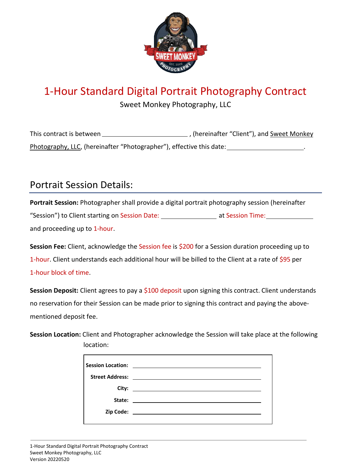

# 1-Hour Standard Digital Portrait Photography Contract

Sweet Monkey Photography, LLC

This contract is between , (hereinafter "Client"), and Sweet Monkey Photography, LLC, (hereinafter "Photographer"), effective this date: .

### Portrait Session Details:

**Portrait Session:** Photographer shall provide a digital portrait photography session (hereinafter "Session") to Client starting on Session Date: \_\_\_\_\_\_\_\_\_\_\_\_\_\_\_\_\_\_\_ at Session Time: \_\_\_\_\_\_\_\_\_\_\_\_\_\_\_ and proceeding up to 1-hour.

**Session Fee:** Client, acknowledge the Session fee is \$200 for a Session duration proceeding up to 1-hour. Client understands each additional hour will be billed to the Client at a rate of \$95 per 1-hour block of time.

Session Deposit: Client agrees to pay a \$100 deposit upon signing this contract. Client understands no reservation for their Session can be made prior to signing this contract and paying the abovementioned deposit fee.

**Session Location:** Client and Photographer acknowledge the Session will take place at the following location: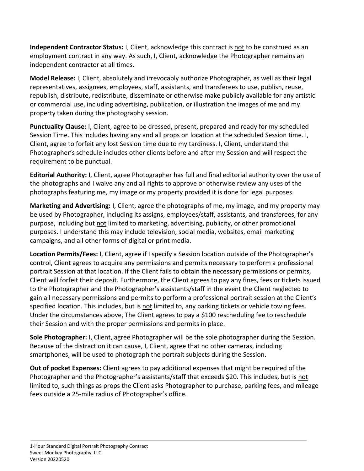**Independent Contractor Status:** I, Client, acknowledge this contract is not to be construed as an employment contract in any way. As such, I, Client, acknowledge the Photographer remains an independent contractor at all times.

**Model Release:** I, Client, absolutely and irrevocably authorize Photographer, as well as their legal representatives, assignees, employees, staff, assistants, and transferees to use, publish, reuse, republish, distribute, redistribute, disseminate or otherwise make publicly available for any artistic or commercial use, including advertising, publication, or illustration the images of me and my property taken during the photography session.

**Punctuality Clause:** I, Client, agree to be dressed, present, prepared and ready for my scheduled Session Time. This includes having any and all props on location at the scheduled Session time. I, Client, agree to forfeit any lost Session time due to my tardiness. I, Client, understand the Photographer's schedule includes other clients before and after my Session and will respect the requirement to be punctual.

**Editorial Authority:** I, Client, agree Photographer has full and final editorial authority over the use of the photographs and I waive any and all rights to approve or otherwise review any uses of the photographs featuring me, my image or my property provided it is done for legal purposes.

**Marketing and Advertising:** I, Client, agree the photographs of me, my image, and my property may be used by Photographer, including its assigns, employees/staff, assistants, and transferees, for any purpose, including but not limited to marketing, advertising, publicity, or other promotional purposes. I understand this may include television, social media, websites, email marketing campaigns, and all other forms of digital or print media.

**Location Permits/Fees:** I, Client, agree if I specify a Session location outside of the Photographer's control, Client agrees to acquire any permissions and permits necessary to perform a professional portrait Session at that location. If the Client fails to obtain the necessary permissions or permits, Client will forfeit their deposit. Furthermore, the Client agrees to pay any fines, fees or tickets issued to the Photographer and the Photographer's assistants/staff in the event the Client neglected to gain all necessary permissions and permits to perform a professional portrait session at the Client's specified location. This includes, but is not limited to, any parking tickets or vehicle towing fees. Under the circumstances above, The Client agrees to pay a \$100 rescheduling fee to reschedule their Session and with the proper permissions and permits in place.

**Sole Photographer:** I, Client, agree Photographer will be the sole photographer during the Session. Because of the distraction it can cause, I, Client, agree that no other cameras, including smartphones, will be used to photograph the portrait subjects during the Session.

**Out of pocket Expenses:** Client agrees to pay additional expenses that might be required of the Photographer and the Photographer's assistants/staff that exceeds \$20. This includes, but is not limited to, such things as props the Client asks Photographer to purchase, parking fees, and mileage fees outside a 25-mile radius of Photographer's office.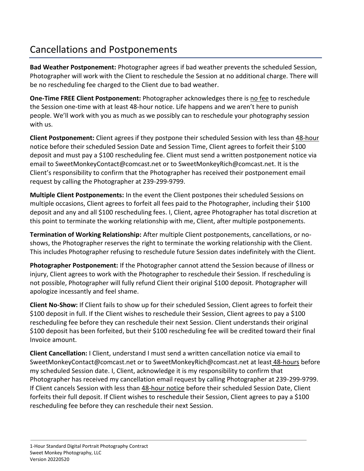# Cancellations and Postponements

**Bad Weather Postponement:** Photographer agrees if bad weather prevents the scheduled Session, Photographer will work with the Client to reschedule the Session at no additional charge. There will be no rescheduling fee charged to the Client due to bad weather.

**One-Time FREE Client Postponement:** Photographer acknowledges there is no fee to reschedule the Session one-time with at least 48-hour notice. Life happens and we aren't here to punish people. We'll work with you as much as we possibly can to reschedule your photography session with us.

**Client Postponement:** Client agrees if they postpone their scheduled Session with less than 48-hour notice before their scheduled Session Date and Session Time, Client agrees to forfeit their \$100 deposit and must pay a \$100 rescheduling fee. Client must send a written postponement notice via email to SweetMonkeyContact@comcast.net or to SweetMonkeyRich@comcast.net. It is the Client's responsibility to confirm that the Photographer has received their postponement email request by calling the Photographer at 239-299-9799.

**Multiple Client Postponements:** In the event the Client postpones their scheduled Sessions on multiple occasions, Client agrees to forfeit all fees paid to the Photographer, including their \$100 deposit and any and all \$100 rescheduling fees. I, Client, agree Photographer has total discretion at this point to terminate the working relationship with me, Client, after multiple postponements.

**Termination of Working Relationship:** After multiple Client postponements, cancellations, or noshows, the Photographer reserves the right to terminate the working relationship with the Client. This includes Photographer refusing to reschedule future Session dates indefinitely with the Client.

**Photographer Postponement:** If the Photographer cannot attend the Session because of illness or injury, Client agrees to work with the Photographer to reschedule their Session. If rescheduling is not possible, Photographer will fully refund Client their original \$100 deposit. Photographer will apologize incessantly and feel shame.

**Client No-Show:** If Client fails to show up for their scheduled Session, Client agrees to forfeit their \$100 deposit in full. If the Client wishes to reschedule their Session, Client agrees to pay a \$100 rescheduling fee before they can reschedule their next Session. Client understands their original \$100 deposit has been forfeited, but their \$100 rescheduling fee will be credited toward their final Invoice amount.

**Client Cancellation:** I Client, understand I must send a written cancellation notice via email to SweetMonkeyContact@comcast.net or to SweetMonkeyRich@comcast.net at least 48-hours before my scheduled Session date. I, Client, acknowledge it is my responsibility to confirm that Photographer has received my cancellation email request by calling Photographer at 239-299-9799. If Client cancels Session with less than 48-hour notice before their scheduled Session Date, Client forfeits their full deposit. If Client wishes to reschedule their Session, Client agrees to pay a \$100 rescheduling fee before they can reschedule their next Session.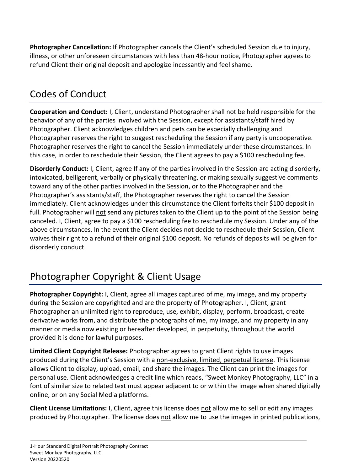**Photographer Cancellation:** If Photographer cancels the Client's scheduled Session due to injury, illness, or other unforeseen circumstances with less than 48-hour notice, Photographer agrees to refund Client their original deposit and apologize incessantly and feel shame.

### Codes of Conduct

**Cooperation and Conduct:** I, Client, understand Photographer shall not be held responsible for the behavior of any of the parties involved with the Session, except for assistants/staff hired by Photographer. Client acknowledges children and pets can be especially challenging and Photographer reserves the right to suggest rescheduling the Session if any party is uncooperative. Photographer reserves the right to cancel the Session immediately under these circumstances. In this case, in order to reschedule their Session, the Client agrees to pay a \$100 rescheduling fee.

**Disorderly Conduct:** I, Client, agree If any of the parties involved in the Session are acting disorderly, intoxicated, belligerent, verbally or physically threatening, or making sexually suggestive comments toward any of the other parties involved in the Session, or to the Photographer and the Photographer's assistants/staff, the Photographer reserves the right to cancel the Session immediately. Client acknowledges under this circumstance the Client forfeits their \$100 deposit in full. Photographer will not send any pictures taken to the Client up to the point of the Session being canceled. I, Client, agree to pay a \$100 rescheduling fee to reschedule my Session. Under any of the above circumstances, In the event the Client decides not decide to reschedule their Session, Client waives their right to a refund of their original \$100 deposit. No refunds of deposits will be given for disorderly conduct.

# Photographer Copyright & Client Usage

**Photographer Copyright:** I, Client, agree all images captured of me, my image, and my property during the Session are copyrighted and are the property of Photographer. I, Client, grant Photographer an unlimited right to reproduce, use, exhibit, display, perform, broadcast, create derivative works from, and distribute the photographs of me, my image, and my property in any manner or media now existing or hereafter developed, in perpetuity, throughout the world provided it is done for lawful purposes.

**Limited Client Copyright Release:** Photographer agrees to grant Client rights to use images produced during the Client's Session with a non-exclusive, limited, perpetual license. This license allows Client to display, upload, email, and share the images. The Client can print the images for personal use. Client acknowledges a credit line which reads, "Sweet Monkey Photography, LLC" in a font of similar size to related text must appear adjacent to or within the image when shared digitally online, or on any Social Media platforms.

**Client License Limitations:** I, Client, agree this license does not allow me to sell or edit any images produced by Photographer. The license does not allow me to use the images in printed publications,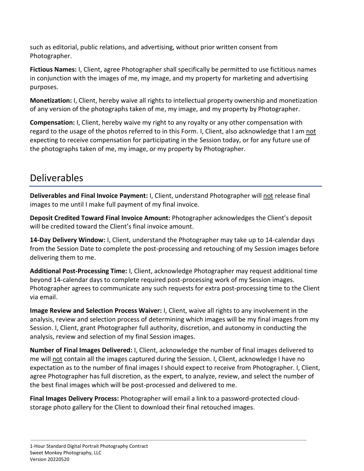such as editorial, public relations, and advertising, without prior written consent from Photographer.

**Fictious Names:** I, Client, agree Photographer shall specifically be permitted to use fictitious names in conjunction with the images of me, my image, and my property for marketing and advertising purposes.

**Monetization:** I, Client, hereby waive all rights to intellectual property ownership and monetization of any version of the photographs taken of me, my image, and my property by Photographer.

**Compensation:** I, Client, hereby waive my right to any royalty or any other compensation with regard to the usage of the photos referred to in this Form. I, Client, also acknowledge that I am not expecting to receive compensation for participating in the Session today, or for any future use of the photographs taken of me, my image, or my property by Photographer.

### Deliverables

**Deliverables and Final Invoice Payment:** I, Client, understand Photographer will not release final images to me until I make full payment of my final invoice.

**Deposit Credited Toward Final Invoice Amount:** Photographer acknowledges the Client's deposit will be credited toward the Client's final invoice amount.

**14-Day Delivery Window:** I, Client, understand the Photographer may take up to 14-calendar days from the Session Date to complete the post-processing and retouching of my Session images before delivering them to me.

**Additional Post-Processing Time:** I, Client, acknowledge Photographer may request additional time beyond 14-calendar days to complete required post-processing work of my Session images. Photographer agrees to communicate any such requests for extra post-processing time to the Client via email.

**Image Review and Selection Process Waiver:** I, Client, waive all rights to any involvement in the analysis, review and selection process of determining which images will be my final images from my Session. I, Client, grant Photographer full authority, discretion, and autonomy in conducting the analysis, review and selection of my final Session images.

**Number of Final Images Delivered:** I, Client, acknowledge the number of final images delivered to me will not contain all the images captured during the Session. I, Client, acknowledge I have no expectation as to the number of final images I should expect to receive from Photographer. I, Client, agree Photographer has full discretion, as the expert, to analyze, review, and select the number of the best final images which will be post-processed and delivered to me.

**Final Images Delivery Process:** Photographer will email a link to a password-protected cloudstorage photo gallery for the Client to download their final retouched images.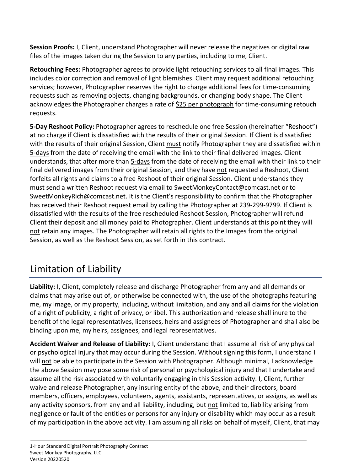**Session Proofs:** I, Client, understand Photographer will never release the negatives or digital raw files of the images taken during the Session to any parties, including to me, Client.

**Retouching Fees:** Photographer agrees to provide light retouching services to all final images. This includes color correction and removal of light blemishes. Client may request additional retouching services; however, Photographer reserves the right to charge additional fees for time-consuming requests such as removing objects, changing backgrounds, or changing body shape. The Client acknowledges the Photographer charges a rate of \$25 per photograph for time-consuming retouch requests.

**5-Day Reshoot Policy:** Photographer agrees to reschedule one free Session (hereinafter "Reshoot") at no charge if Client is dissatisfied with the results of their original Session. If Client is dissatisfied with the results of their original Session, Client must notify Photographer they are dissatisfied within 5-days from the date of receiving the email with the link to their final delivered images. Client understands, that after more than 5-days from the date of receiving the email with their link to their final delivered images from their original Session, and they have not requested a Reshoot, Client forfeits all rights and claims to a free Reshoot of their original Session. Client understands they must send a written Reshoot request via email to SweetMonkeyContact@comcast.net or to SweetMonkeyRich@comcast.net. It is the Client's responsibility to confirm that the Photographer has received their Reshoot request email by calling the Photographer at 239-299-9799. If Client is dissatisfied with the results of the free rescheduled Reshoot Session, Photographer will refund Client their deposit and all money paid to Photographer. Client understands at this point they will not retain any images. The Photographer will retain all rights to the Images from the original Session, as well as the Reshoot Session, as set forth in this contract.

# Limitation of Liability

**Liability:** I, Client, completely release and discharge Photographer from any and all demands or claims that may arise out of, or otherwise be connected with, the use of the photographs featuring me, my image, or my property, including, without limitation, and any and all claims for the violation of a right of publicity, a right of privacy, or libel. This authorization and release shall inure to the benefit of the legal representatives, licensees, heirs and assignees of Photographer and shall also be binding upon me, my heirs, assignees, and legal representatives.

**Accident Waiver and Release of Liability:** I, Client understand that I assume all risk of any physical or psychological injury that may occur during the Session. Without signing this form, I understand I will not be able to participate in the Session with Photographer. Although minimal, I acknowledge the above Session may pose some risk of personal or psychological injury and that I undertake and assume all the risk associated with voluntarily engaging in this Session activity. I, Client, further waive and release Photographer, any insuring entity of the above, and their directors, board members, officers, employees, volunteers, agents, assistants, representatives, or assigns, as well as any activity sponsors, from any and all liability, including, but not limited to, liability arising from negligence or fault of the entities or persons for any injury or disability which may occur as a result of my participation in the above activity. I am assuming all risks on behalf of myself, Client, that may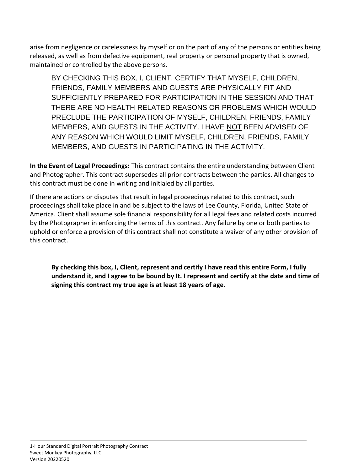arise from negligence or carelessness by myself or on the part of any of the persons or entities being released, as well as from defective equipment, real property or personal property that is owned, maintained or controlled by the above persons.

BY CHECKING THIS BOX, I, CLIENT, CERTIFY THAT MYSELF, CHILDREN, FRIENDS, FAMILY MEMBERS AND GUESTS ARE PHYSICALLY FIT AND SUFFICIENTLY PREPARED FOR PARTICIPATION IN THE SESSION AND THAT THERE ARE NO HEALTH-RELATED REASONS OR PROBLEMS WHICH WOULD PRECLUDE THE PARTICIPATION OF MYSELF, CHILDREN, FRIENDS, FAMILY MEMBERS, AND GUESTS IN THE ACTIVITY. I HAVE NOT BEEN ADVISED OF ANY REASON WHICH WOULD LIMIT MYSELF, CHILDREN, FRIENDS, FAMILY MEMBERS, AND GUESTS IN PARTICIPATING IN THE ACTIVITY.

**In the Event of Legal Proceedings:** This contract contains the entire understanding between Client and Photographer. This contract supersedes all prior contracts between the parties. All changes to this contract must be done in writing and initialed by all parties.

If there are actions or disputes that result in legal proceedings related to this contract, such proceedings shall take place in and be subject to the laws of Lee County, Florida, United State of America. Client shall assume sole financial responsibility for all legal fees and related costs incurred by the Photographer in enforcing the terms of this contract. Any failure by one or both parties to uphold or enforce a provision of this contract shall not constitute a waiver of any other provision of this contract.

**By checking this box, I, Client, represent and certify I have read this entire Form, I fully understand it, and I agree to be bound by It. I represent and certify at the date and time of signing this contract my true age is at least 18 years of age.**